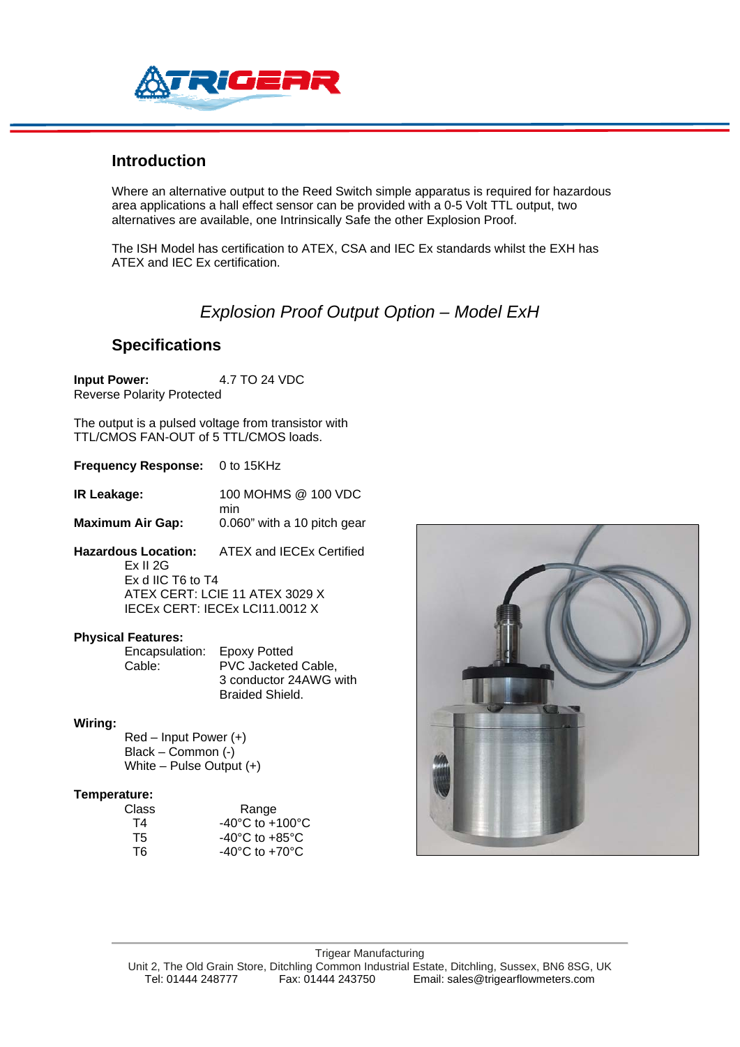

## **Introduction**

Where an alternative output to the Reed Switch simple apparatus is required for hazardous area applications a hall effect sensor can be provided with a 0-5 Volt TTL output, two alternatives are available, one Intrinsically Safe the other Explosion Proof.

The ISH Model has certification to ATEX, CSA and IEC Ex standards whilst the EXH has ATEX and IEC Ex certification.

## *Explosion Proof Output Option – Model ExH*

### **Specifications**

 **Input Power:** 4.7 TO 24 VDC Reverse Polarity Protected

The output is a pulsed voltage from transistor with TTL/CMOS FAN-OUT of 5 TTL/CMOS loads.

**Frequency Response:** 0 to 15KHz

**IR Leakage:** 100 MOHMS @ 100 VDC min

**Maximum Air Gap:** 0.060" with a 10 pitch gear

**Hazardous Location:** ATEX and IECEx Certified Ex II 2G Ex d IIC T6 to T4 ATEX CERT: LCIE 11 ATEX 3029 X IECEx CERT: IECEx LCI11.0012 X

### **Physical Features:**

 Encapsulation: Epoxy Potted Cable: PVC Jacketed Cable, 3 conductor 24AWG with Braided Shield.

### **Wiring:**

 Red – Input Power (+) Black – Common (-) White – Pulse Output (+)

#### **Temperature:**

| Class | Range                               |
|-------|-------------------------------------|
| Τ4    | $-40^{\circ}$ C to $+100^{\circ}$ C |
| T5.   | $-40^{\circ}$ C to $+85^{\circ}$ C  |
| T6.   | $-40^{\circ}$ C to $+70^{\circ}$ C  |